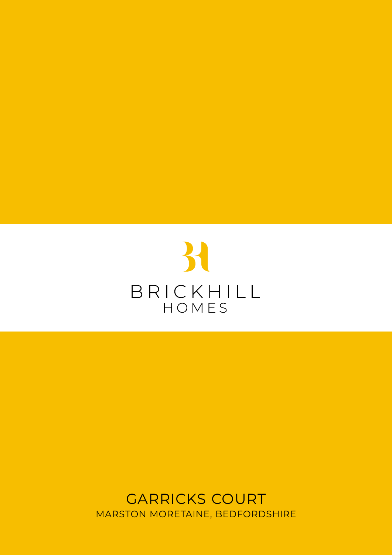

GARRICKS COURT MARSTON MORETAINE, BEDFORDSHIRE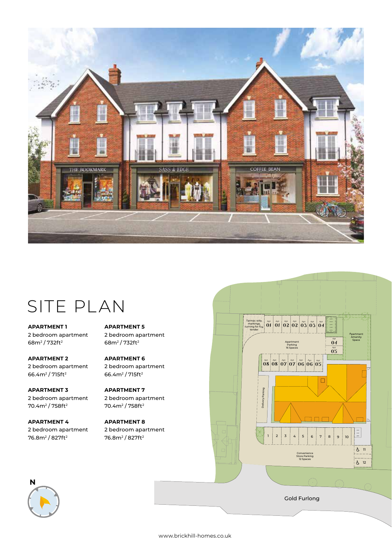

# SITE PLAN

**APARTMENT 1** 2 bedroom apartment 68m2 / 732ft2

**APARTMENT 2** 2 bedroom apartment 66.4m2 / 715ft2

**APARTMENT 3**  2 bedroom apartment 70.4m2 / 758ft2

**APARTMENT 4** 2 bedroom apartment 76.8m2 / 827ft2

**APARTMENT 5** 2 bedroom apartment 68m2 / 732ft2

**APARTMENT 6** 2 bedroom apartment 66.4m2 / 715ft2

**APARTMENT 7**  2 bedroom apartment 70.4m2 / 758ft2

**APARTMENT 8** 2 bedroom apartment 76.8m2 / 827ft2



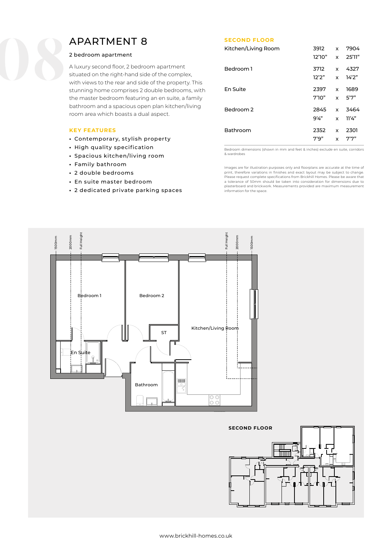## APARTMENT 8

#### 2 bedroom apartment

A luxury second floor, 2 bedroom apartment situated on the right-hand side of the complex, with views to the rear and side of the property. This stunning home comprises 2 double bedrooms, with the master bedroom featuring an en suite, a family bathroom and a spacious open plan kitchen/living room area which boasts a dual aspect.

#### **KEY FEATURES**

- Contemporary, stylish property
- High quality specification
- Spacious kitchen/living room
- Family bathroom
- 2 double bedrooms
- En suite master bedroom
- 2 dedicated private parking spaces

#### **SECOND FLOOR**

| Kitchen/Living Room | 3912    | x | 7904   |
|---------------------|---------|---|--------|
|                     | 12'10'' | x | 25'11" |
| Bedroom 1           | 3712    | x | 4327   |
|                     | 12'2''  | x | 14'2"  |
| En Suite            | 2397    | x | 1689   |
|                     | 7'10''  | x | 5'7"   |
| Bedroom 2           | 2845    | x | 3464   |
|                     | 9'4''   | x | 11'4'' |
| Bathroom            | 2352    | x | 2301   |
|                     | 7'9''   | x | 7"7"   |

Bedroom dimensions (shown in mm and feet & inches) exclude en suite, corridors & wardrobes

Images are for illustration purposes only and floorplans are accurate at the time of print, therefore variations in finishes and exact layout may be subject to change. Please request complete specifications from Brickhill Homes. Please be aware that a tolerance of 50mm should be taken into consideration for dimensions due to plasterboard and brickwork. Measurements provided are maximum measurement information for the space.